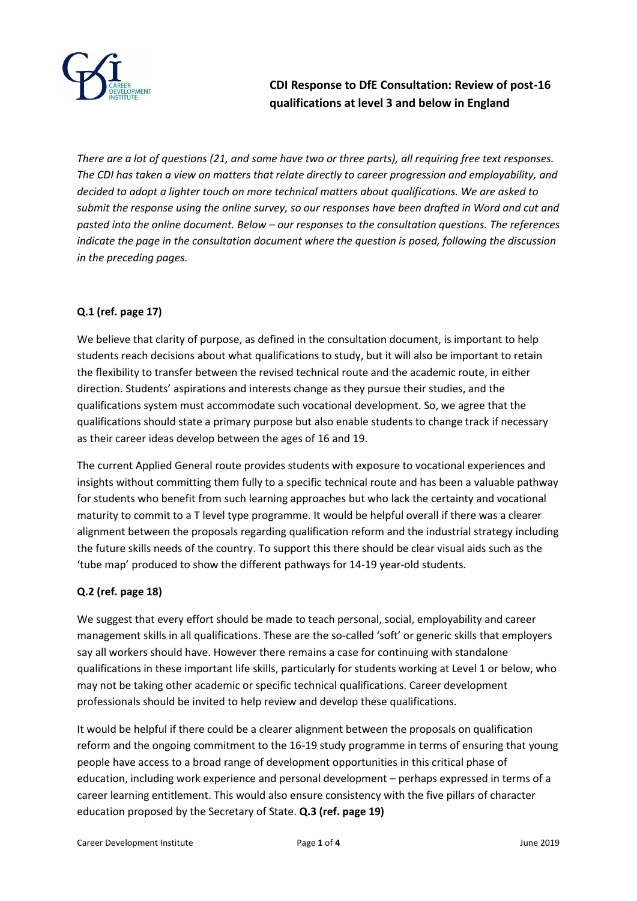

**CDI Response to DfE Consultation: Review of post-16 qualifications at level 3 and below in England**

*There are a lot of questions (21, and some have two or three parts), all requiring free text responses. The CDI has taken a view on matters that relate directly to career progression and employability, and decided to adopt a lighter touch on more technical matters about qualifications. We are asked to submit the response using the online survey, so our responses have been drafted in Word and cut and pasted into the online document. Below – our responses to the consultation questions. The references indicate the page in the consultation document where the question is posed, following the discussion in the preceding pages.* 

# **Q.1 (ref. page 17)**

We believe that clarity of purpose, as defined in the consultation document, is important to help students reach decisions about what qualifications to study, but it will also be important to retain the flexibility to transfer between the revised technical route and the academic route, in either direction. Students' aspirations and interests change as they pursue their studies, and the qualifications system must accommodate such vocational development. So, we agree that the qualifications should state a primary purpose but also enable students to change track if necessary as their career ideas develop between the ages of 16 and 19.

The current Applied General route provides students with exposure to vocational experiences and insights without committing them fully to a specific technical route and has been a valuable pathway for students who benefit from such learning approaches but who lack the certainty and vocational maturity to commit to a T level type programme. It would be helpful overall if there was a clearer alignment between the proposals regarding qualification reform and the industrial strategy including the future skills needs of the country. To support this there should be clear visual aids such as the 'tube map' produced to show the different pathways for 14-19 year-old students.

### **Q.2 (ref. page 18)**

We suggest that every effort should be made to teach personal, social, employability and career management skills in all qualifications. These are the so-called 'soft' or generic skills that employers say all workers should have. However there remains a case for continuing with standalone qualifications in these important life skills, particularly for students working at Level 1 or below, who may not be taking other academic or specific technical qualifications. Career development professionals should be invited to help review and develop these qualifications.

It would be helpful if there could be a clearer alignment between the proposals on qualification reform and the ongoing commitment to the 16-19 study programme in terms of ensuring that young people have access to a broad range of development opportunities in this critical phase of education, including work experience and personal development – perhaps expressed in terms of a career learning entitlement. This would also ensure consistency with the five pillars of character education proposed by the Secretary of State. **Q.3 (ref. page 19)**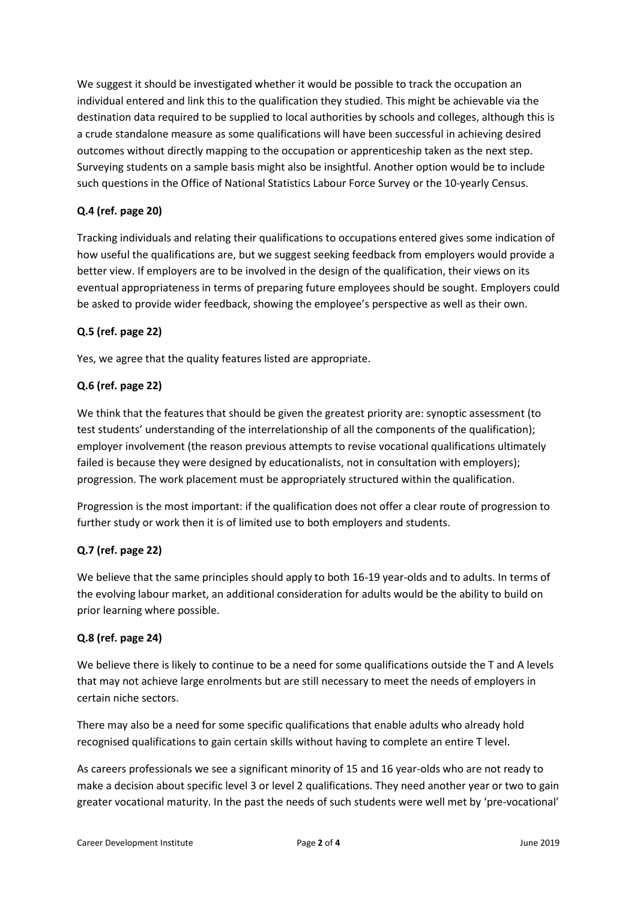We suggest it should be investigated whether it would be possible to track the occupation an individual entered and link this to the qualification they studied. This might be achievable via the destination data required to be supplied to local authorities by schools and colleges, although this is a crude standalone measure as some qualifications will have been successful in achieving desired outcomes without directly mapping to the occupation or apprenticeship taken as the next step. Surveying students on a sample basis might also be insightful. Another option would be to include such questions in the Office of National Statistics Labour Force Survey or the 10-yearly Census.

## **Q.4 (ref. page 20)**

Tracking individuals and relating their qualifications to occupations entered gives some indication of how useful the qualifications are, but we suggest seeking feedback from employers would provide a better view. If employers are to be involved in the design of the qualification, their views on its eventual appropriateness in terms of preparing future employees should be sought. Employers could be asked to provide wider feedback, showing the employee's perspective as well as their own.

### **Q.5 (ref. page 22)**

Yes, we agree that the quality features listed are appropriate.

### **Q.6 (ref. page 22)**

We think that the features that should be given the greatest priority are: synoptic assessment (to test students' understanding of the interrelationship of all the components of the qualification); employer involvement (the reason previous attempts to revise vocational qualifications ultimately failed is because they were designed by educationalists, not in consultation with employers); progression. The work placement must be appropriately structured within the qualification.

Progression is the most important: if the qualification does not offer a clear route of progression to further study or work then it is of limited use to both employers and students.

### **Q.7 (ref. page 22)**

We believe that the same principles should apply to both 16-19 year-olds and to adults. In terms of the evolving labour market, an additional consideration for adults would be the ability to build on prior learning where possible.

### **Q.8 (ref. page 24)**

We believe there is likely to continue to be a need for some qualifications outside the T and A levels that may not achieve large enrolments but are still necessary to meet the needs of employers in certain niche sectors.

There may also be a need for some specific qualifications that enable adults who already hold recognised qualifications to gain certain skills without having to complete an entire T level.

As careers professionals we see a significant minority of 15 and 16 year-olds who are not ready to make a decision about specific level 3 or level 2 qualifications. They need another year or two to gain greater vocational maturity. In the past the needs of such students were well met by 'pre-vocational'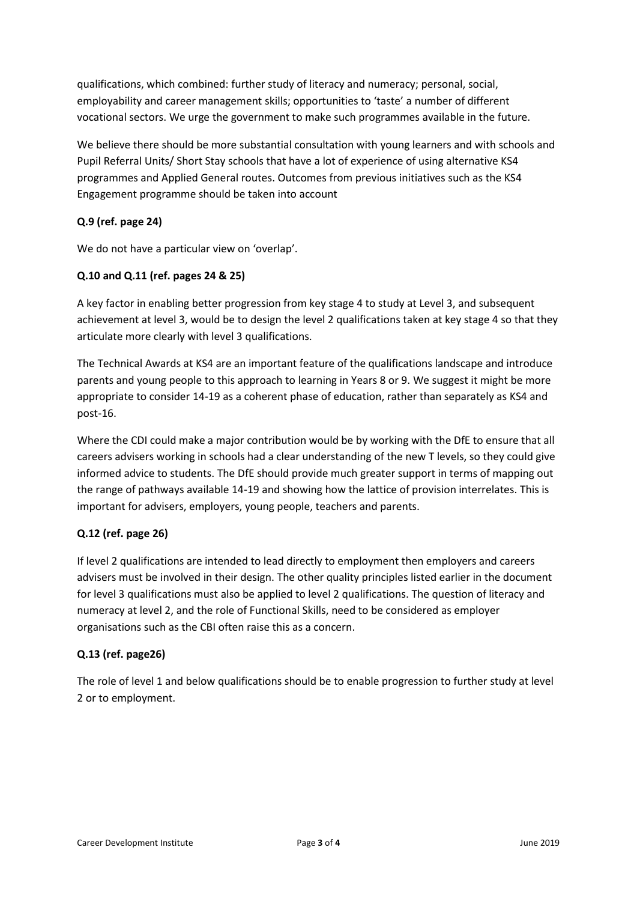qualifications, which combined: further study of literacy and numeracy; personal, social, employability and career management skills; opportunities to 'taste' a number of different vocational sectors. We urge the government to make such programmes available in the future.

We believe there should be more substantial consultation with young learners and with schools and Pupil Referral Units/ Short Stay schools that have a lot of experience of using alternative KS4 programmes and Applied General routes. Outcomes from previous initiatives such as the KS4 Engagement programme should be taken into account

## **Q.9 (ref. page 24)**

We do not have a particular view on 'overlap'.

### **Q.10 and Q.11 (ref. pages 24 & 25)**

A key factor in enabling better progression from key stage 4 to study at Level 3, and subsequent achievement at level 3, would be to design the level 2 qualifications taken at key stage 4 so that they articulate more clearly with level 3 qualifications.

The Technical Awards at KS4 are an important feature of the qualifications landscape and introduce parents and young people to this approach to learning in Years 8 or 9. We suggest it might be more appropriate to consider 14-19 as a coherent phase of education, rather than separately as KS4 and post-16.

Where the CDI could make a major contribution would be by working with the DfE to ensure that all careers advisers working in schools had a clear understanding of the new T levels, so they could give informed advice to students. The DfE should provide much greater support in terms of mapping out the range of pathways available 14-19 and showing how the lattice of provision interrelates. This is important for advisers, employers, young people, teachers and parents.

### **Q.12 (ref. page 26)**

If level 2 qualifications are intended to lead directly to employment then employers and careers advisers must be involved in their design. The other quality principles listed earlier in the document for level 3 qualifications must also be applied to level 2 qualifications. The question of literacy and numeracy at level 2, and the role of Functional Skills, need to be considered as employer organisations such as the CBI often raise this as a concern.

#### **Q.13 (ref. page26)**

The role of level 1 and below qualifications should be to enable progression to further study at level 2 or to employment.